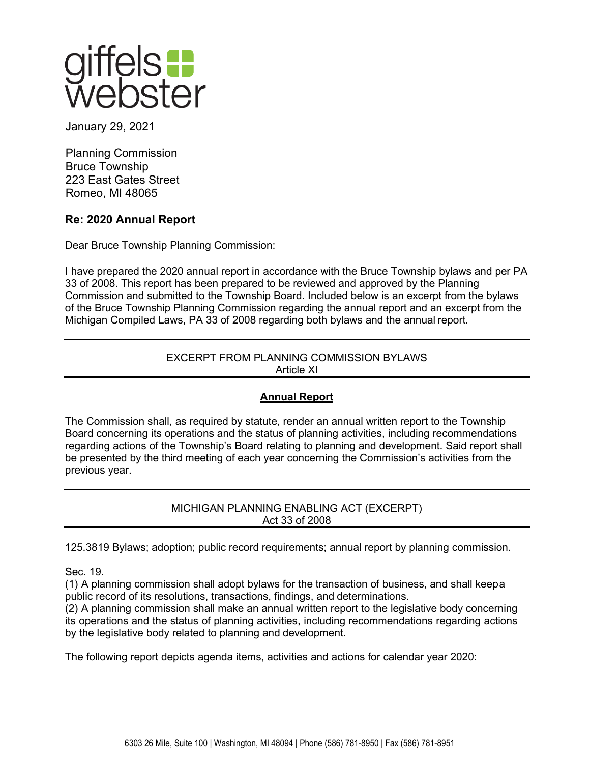

January 29, 2021

Planning Commission Bruce Township 223 East Gates Street Romeo, MI 48065

# **Re: 2020 Annual Report**

Dear Bruce Township Planning Commission:

I have prepared the 2020 annual report in accordance with the Bruce Township bylaws and per PA 33 of 2008. This report has been prepared to be reviewed and approved by the Planning Commission and submitted to the Township Board. Included below is an excerpt from the bylaws of the Bruce Township Planning Commission regarding the annual report and an excerpt from the Michigan Compiled Laws, PA 33 of 2008 regarding both bylaws and the annual report.

## EXCERPT FROM PLANNING COMMISSION BYLAWS Article XI

# **Annual Report**

The Commission shall, as required by statute, render an annual written report to the Township Board concerning its operations and the status of planning activities, including recommendations regarding actions of the Township's Board relating to planning and development. Said report shall be presented by the third meeting of each year concerning the Commission's activities from the previous year.

> MICHIGAN PLANNING ENABLING ACT (EXCERPT) Act 33 of 2008

125.3819 Bylaws; adoption; public record requirements; annual report by planning commission.

Sec. 19.

(1) A planning commission shall adopt bylaws for the transaction of business, and shall keepa public record of its resolutions, transactions, findings, and determinations.

(2) A planning commission shall make an annual written report to the legislative body concerning its operations and the status of planning activities, including recommendations regarding actions by the legislative body related to planning and development.

The following report depicts agenda items, activities and actions for calendar year 2020: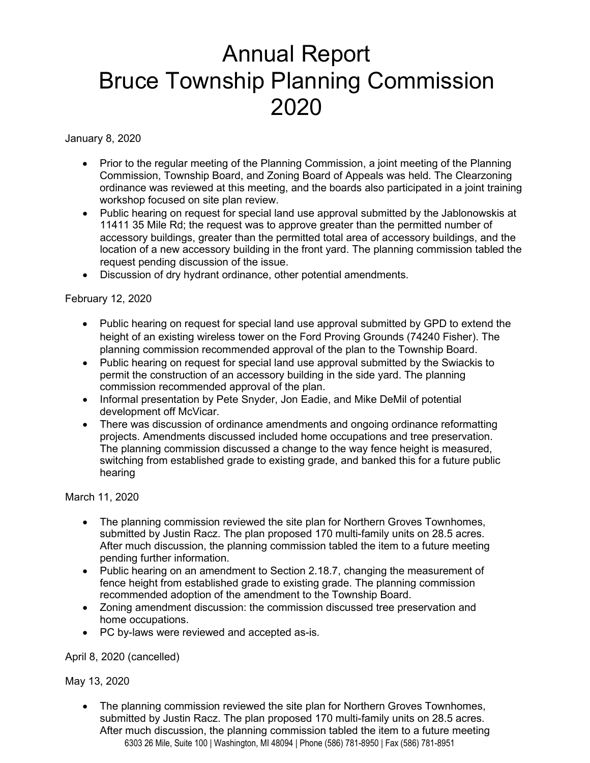# Annual Report Bruce Township Planning Commission 2020

January 8, 2020

- Prior to the regular meeting of the Planning Commission, a joint meeting of the Planning Commission, Township Board, and Zoning Board of Appeals was held. The Clearzoning ordinance was reviewed at this meeting, and the boards also participated in a joint training workshop focused on site plan review.
- Public hearing on request for special land use approval submitted by the Jablonowskis at 11411 35 Mile Rd; the request was to approve greater than the permitted number of accessory buildings, greater than the permitted total area of accessory buildings, and the location of a new accessory building in the front yard. The planning commission tabled the request pending discussion of the issue.
- Discussion of dry hydrant ordinance, other potential amendments.

## February 12, 2020

- Public hearing on request for special land use approval submitted by GPD to extend the height of an existing wireless tower on the Ford Proving Grounds (74240 Fisher). The planning commission recommended approval of the plan to the Township Board.
- Public hearing on request for special land use approval submitted by the Swiackis to permit the construction of an accessory building in the side yard. The planning commission recommended approval of the plan.
- Informal presentation by Pete Snyder, Jon Eadie, and Mike DeMil of potential development off McVicar.
- There was discussion of ordinance amendments and ongoing ordinance reformatting projects. Amendments discussed included home occupations and tree preservation. The planning commission discussed a change to the way fence height is measured, switching from established grade to existing grade, and banked this for a future public hearing

March 11, 2020

- The planning commission reviewed the site plan for Northern Groves Townhomes, submitted by Justin Racz. The plan proposed 170 multi-family units on 28.5 acres. After much discussion, the planning commission tabled the item to a future meeting pending further information.
- Public hearing on an amendment to Section 2.18.7, changing the measurement of fence height from established grade to existing grade. The planning commission recommended adoption of the amendment to the Township Board.
- Zoning amendment discussion: the commission discussed tree preservation and home occupations.
- PC by-laws were reviewed and accepted as-is.

April 8, 2020 (cancelled)

## May 13, 2020

6303 26 Mile, Suite 100 | Washington, MI 48094 | Phone (586) 781-8950 | Fax (586) 781-8951 • The planning commission reviewed the site plan for Northern Groves Townhomes, submitted by Justin Racz. The plan proposed 170 multi-family units on 28.5 acres. After much discussion, the planning commission tabled the item to a future meeting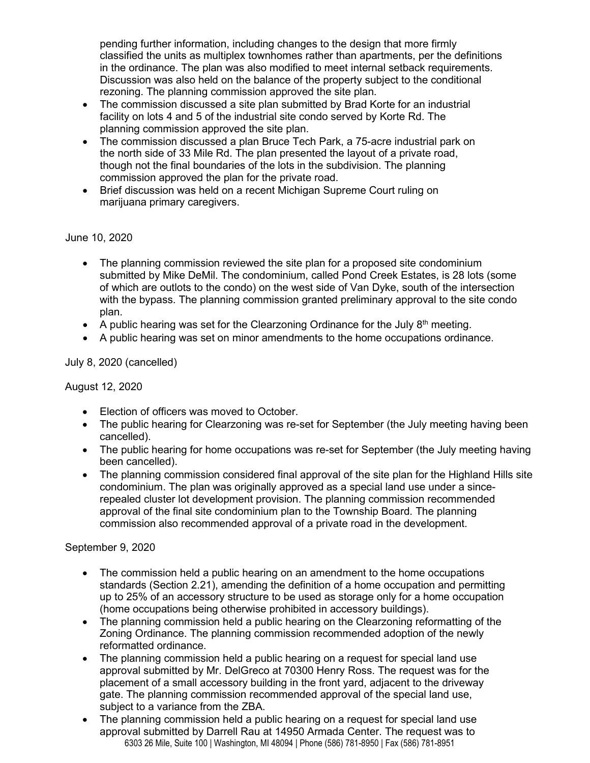pending further information, including changes to the design that more firmly classified the units as multiplex townhomes rather than apartments, per the definitions in the ordinance. The plan was also modified to meet internal setback requirements. Discussion was also held on the balance of the property subject to the conditional rezoning. The planning commission approved the site plan.

- The commission discussed a site plan submitted by Brad Korte for an industrial facility on lots 4 and 5 of the industrial site condo served by Korte Rd. The planning commission approved the site plan.
- The commission discussed a plan Bruce Tech Park, a 75-acre industrial park on the north side of 33 Mile Rd. The plan presented the layout of a private road, though not the final boundaries of the lots in the subdivision. The planning commission approved the plan for the private road.
- Brief discussion was held on a recent Michigan Supreme Court ruling on marijuana primary caregivers.

## June 10, 2020

- The planning commission reviewed the site plan for a proposed site condominium submitted by Mike DeMil. The condominium, called Pond Creek Estates, is 28 lots (some of which are outlots to the condo) on the west side of Van Dyke, south of the intersection with the bypass. The planning commission granted preliminary approval to the site condo plan.
- A public hearing was set for the Clearzoning Ordinance for the July  $8<sup>th</sup>$  meeting.
- A public hearing was set on minor amendments to the home occupations ordinance.

July 8, 2020 (cancelled)

August 12, 2020

- Election of officers was moved to October.
- The public hearing for Clearzoning was re-set for September (the July meeting having been cancelled).
- The public hearing for home occupations was re-set for September (the July meeting having been cancelled).
- The planning commission considered final approval of the site plan for the Highland Hills site condominium. The plan was originally approved as a special land use under a sincerepealed cluster lot development provision. The planning commission recommended approval of the final site condominium plan to the Township Board. The planning commission also recommended approval of a private road in the development.

September 9, 2020

- The commission held a public hearing on an amendment to the home occupations standards (Section 2.21), amending the definition of a home occupation and permitting up to 25% of an accessory structure to be used as storage only for a home occupation (home occupations being otherwise prohibited in accessory buildings).
- The planning commission held a public hearing on the Clearzoning reformatting of the Zoning Ordinance. The planning commission recommended adoption of the newly reformatted ordinance.
- The planning commission held a public hearing on a request for special land use approval submitted by Mr. DelGreco at 70300 Henry Ross. The request was for the placement of a small accessory building in the front yard, adjacent to the driveway gate. The planning commission recommended approval of the special land use, subject to a variance from the ZBA.
- 6303 26 Mile, Suite 100 | Washington, MI 48094 | Phone (586) 781-8950 | Fax (586) 781-8951 The planning commission held a public hearing on a request for special land use approval submitted by Darrell Rau at 14950 Armada Center. The request was to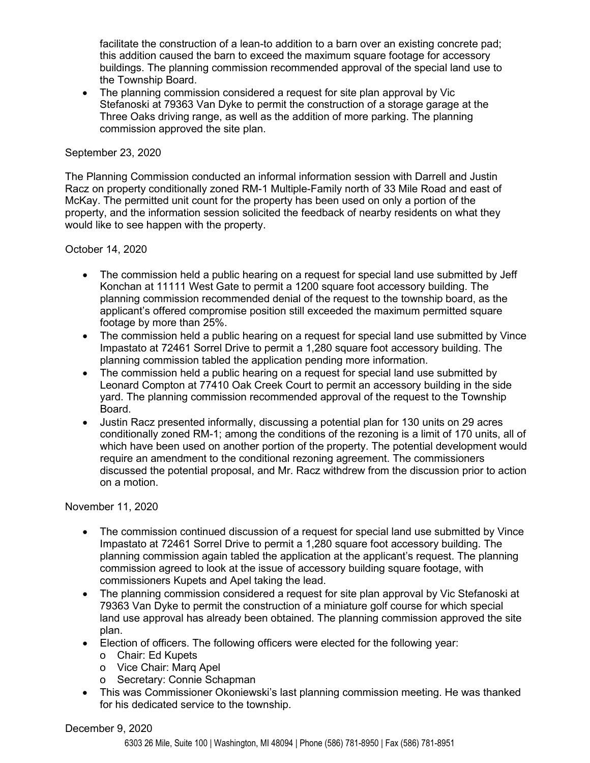facilitate the construction of a lean-to addition to a barn over an existing concrete pad; this addition caused the barn to exceed the maximum square footage for accessory buildings. The planning commission recommended approval of the special land use to the Township Board.

• The planning commission considered a request for site plan approval by Vic Stefanoski at 79363 Van Dyke to permit the construction of a storage garage at the Three Oaks driving range, as well as the addition of more parking. The planning commission approved the site plan.

#### September 23, 2020

The Planning Commission conducted an informal information session with Darrell and Justin Racz on property conditionally zoned RM-1 Multiple-Family north of 33 Mile Road and east of McKay. The permitted unit count for the property has been used on only a portion of the property, and the information session solicited the feedback of nearby residents on what they would like to see happen with the property.

#### October 14, 2020

- The commission held a public hearing on a request for special land use submitted by Jeff Konchan at 11111 West Gate to permit a 1200 square foot accessory building. The planning commission recommended denial of the request to the township board, as the applicant's offered compromise position still exceeded the maximum permitted square footage by more than 25%.
- The commission held a public hearing on a request for special land use submitted by Vince Impastato at 72461 Sorrel Drive to permit a 1,280 square foot accessory building. The planning commission tabled the application pending more information.
- The commission held a public hearing on a request for special land use submitted by Leonard Compton at 77410 Oak Creek Court to permit an accessory building in the side yard. The planning commission recommended approval of the request to the Township Board.
- Justin Racz presented informally, discussing a potential plan for 130 units on 29 acres conditionally zoned RM-1; among the conditions of the rezoning is a limit of 170 units, all of which have been used on another portion of the property. The potential development would require an amendment to the conditional rezoning agreement. The commissioners discussed the potential proposal, and Mr. Racz withdrew from the discussion prior to action on a motion.

#### November 11, 2020

- The commission continued discussion of a request for special land use submitted by Vince Impastato at 72461 Sorrel Drive to permit a 1,280 square foot accessory building. The planning commission again tabled the application at the applicant's request. The planning commission agreed to look at the issue of accessory building square footage, with commissioners Kupets and Apel taking the lead.
- The planning commission considered a request for site plan approval by Vic Stefanoski at 79363 Van Dyke to permit the construction of a miniature golf course for which special land use approval has already been obtained. The planning commission approved the site plan.
- Election of officers. The following officers were elected for the following year:
	- o Chair: Ed Kupets
	- o Vice Chair: Marq Apel
	- o Secretary: Connie Schapman
- This was Commissioner Okoniewski's last planning commission meeting. He was thanked for his dedicated service to the township.